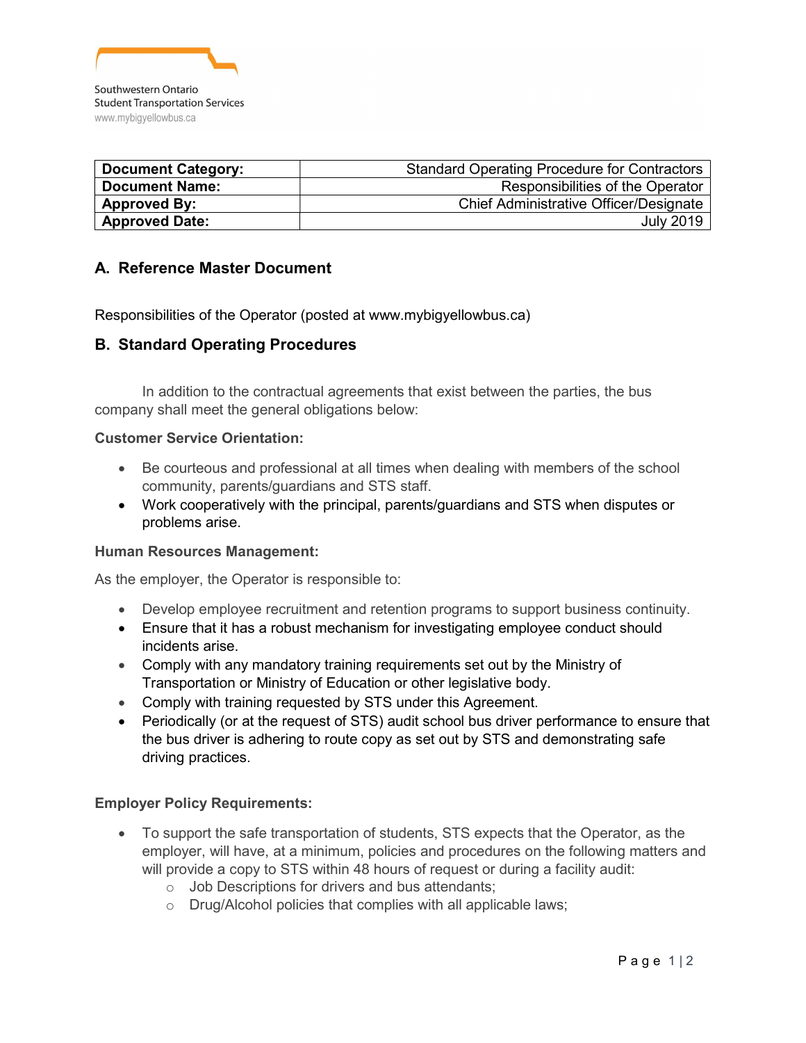

| <b>Document Category:</b> | <b>Standard Operating Procedure for Contractors</b> |
|---------------------------|-----------------------------------------------------|
| <b>Document Name:</b>     | Responsibilities of the Operator                    |
| <b>Approved By:</b>       | Chief Administrative Officer/Designate              |
| <b>Approved Date:</b>     | <b>July 2019</b>                                    |

# A. Reference Master Document

Responsibilities of the Operator (posted at www.mybigyellowbus.ca)

## B. Standard Operating Procedures

In addition to the contractual agreements that exist between the parties, the bus company shall meet the general obligations below:

#### Customer Service Orientation:

- Be courteous and professional at all times when dealing with members of the school community, parents/guardians and STS staff.
- Work cooperatively with the principal, parents/guardians and STS when disputes or problems arise.

#### Human Resources Management:

As the employer, the Operator is responsible to:

- Develop employee recruitment and retention programs to support business continuity.
- Ensure that it has a robust mechanism for investigating employee conduct should incidents arise.
- Comply with any mandatory training requirements set out by the Ministry of Transportation or Ministry of Education or other legislative body.
- Comply with training requested by STS under this Agreement.
- Periodically (or at the request of STS) audit school bus driver performance to ensure that the bus driver is adhering to route copy as set out by STS and demonstrating safe driving practices.

#### Employer Policy Requirements:

- To support the safe transportation of students, STS expects that the Operator, as the employer, will have, at a minimum, policies and procedures on the following matters and will provide a copy to STS within 48 hours of request or during a facility audit:
	- o Job Descriptions for drivers and bus attendants;
	- o Drug/Alcohol policies that complies with all applicable laws;